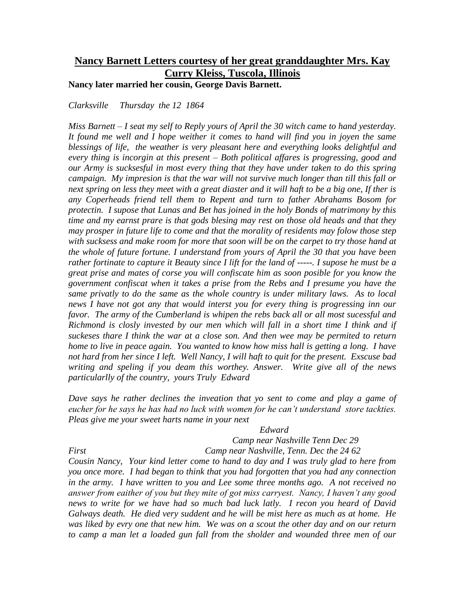# **Nancy Barnett Letters courtesy of her great granddaughter Mrs. Kay Curry Kleiss, Tuscola, Illinois**

**Nancy later married her cousin, George Davis Barnett.**

*Clarksville Thursday the 12 1864*

*Miss Barnett – I seat my self to Reply yours of April the 30 witch came to hand yesterday. It found me well and I hope weither it comes to hand will find you in joyen the same blessings of life, the weather is very pleasant here and everything looks delightful and every thing is incorgin at this present – Both political affares is progressing, good and our Army is sucksesful in most every thing that they have under taken to do this spring campaign. My impresion is that the war will not survive much longer than till this fall or next spring on less they meet with a great diaster and it will haft to be a big one, If ther is any Coperheads friend tell them to Repent and turn to father Abrahams Bosom for protectin. I supose that Lunas and Bet has joined in the holy Bonds of matrimony by this time and my earnst prare is that gods blesing may rest on those old heads and that they may prosper in future life to come and that the morality of residents may folow those step with sucksess and make room for more that soon will be on the carpet to try those hand at the whole of future fortune. I understand from yours of April the 30 that you have been rather fortinate to capture it Beauty since I lift for the land of -----. I supose he must be a great prise and mates of corse you will confiscate him as soon posible for you know the government confiscat when it takes a prise from the Rebs and I presume you have the same privatly to do the same as the whole country is under military laws. As to local news I have not got any that would interst you for every thing is progressing inn our favor. The army of the Cumberland is whipen the rebs back all or all most sucessful and Richmond is closly invested by our men which will fall in a short time I think and if suckeses thare I think the war at a close son. And then wee may be permited to return home to live in peace again. You wanted to know how miss hall is getting a long. I have not hard from her since I left. Well Nancy, I will haft to quit for the present. Exscuse bad writing and speling if you deam this worthey. Answer. Write give all of the news particularlly of the country, yours Truly Edward*

*Dave says he rather declines the inveation that yo sent to come and play a game of eucher for he says he has had no luck with women for he can't understand store tackties. Pleas give me your sweet harts name in your next*

## *Edward*

*Camp near Nashville Tenn Dec 29 First Camp near Nashville, Tenn. Dec the 24 62*

*Cousin Nancy, Your kind letter come to hand to day and I was truly glad to here from you once more. I had began to think that you had forgotten that you had any connection in the army. I have written to you and Lee some three months ago. A not received no answer from eaither of you but they mite of got miss carryest. Nancy, I haven't any good news to write for we have had so much bad luck latly. I recon you heard of David Galways death. He died very suddent and he will be mist here as much as at home. He was liked by evry one that new him. We was on a scout the other day and on our return to camp a man let a loaded gun fall from the sholder and wounded three men of our*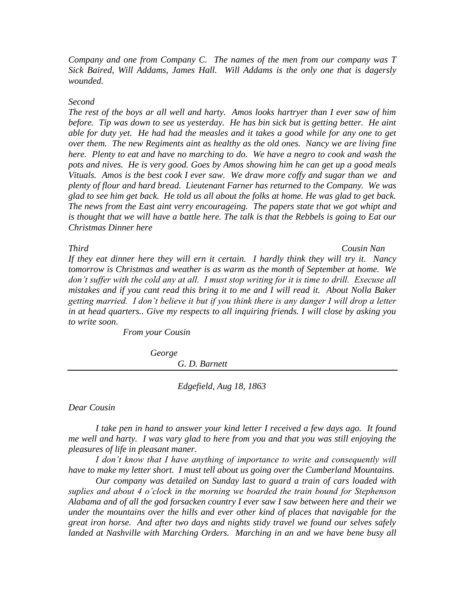*Company and one from Company C. The names of the men from our company was T Sick Baired, Will Addams, James Hall. Will Addams is the only one that is dagersly wounded.*

# *Second*

*The rest of the boys ar all well and harty. Amos looks hartryer than I ever saw of him before. Tip was down to see us yesterday. He has bin sick but is getting better. He aint able for duty yet. He had had the measles and it takes a good while for any one to get over them. The new Regiments aint as healthy as the old ones. Nancy we are living fine here. Plenty to eat and have no marching to do. We have a negro to cook and wash the pots and nives. He is very good. Goes by Amos showing him he can get up a good meals Vituals. Amos is the best cook I ever saw. We draw more coffy and sugar than we and plenty of flour and hard bread. Lieutenant Farner has returned to the Company. We was glad to see him get back. He told us all about the folks at home. He was glad to get back. The news from the East aint verry encourageing. The papers state that we got whipt and*  is thought that we will have a battle here. The talk is that the Rebbels is going to Eat our *Christmas Dinner here*

*Third Cousin Nan If they eat dinner here they will ern it certain. I hardly think they will try it. Nancy tomorrow is Christmas and weather is as warm as the month of September at home. We*  don't suffer with the cold any at all. I must stop writing for it is time to drill. Execuse all *mistakes and if you cant read this bring it to me and I will read it. About Nolla Baker getting married. I don't believe it but if you think there is any danger I will drop a letter in at head quarters.. Give my respects to all inquiring friends. I will close by asking you to write soon.*

*From your Cousin*

*George*

*G. D. Barnett*

*Edgefield, Aug 18, 1863*

*Dear Cousin*

*I take pen in hand to answer your kind letter I received a few days ago. It found me well and harty. I was vary glad to here from you and that you was still enjoying the pleasures of life in pleasant maner.*

*I don't know that I have anything of importance to write and consequently will have to make my letter short. I must tell about us going over the Cumberland Mountains.* 

*Our company was detailed on Sunday last to guard a train of cars loaded with suplies and about 4 o'clock in the morning we boarded the train bound for Stephenson Alabama and of all the god forsacken country I ever saw I saw between here and their we under the mountains over the hills and ever other kind of places that navigable for the great iron horse. And after two days and nights stidy travel we found our selves safely landed at Nashville with Marching Orders. Marching in an and we have bene busy all*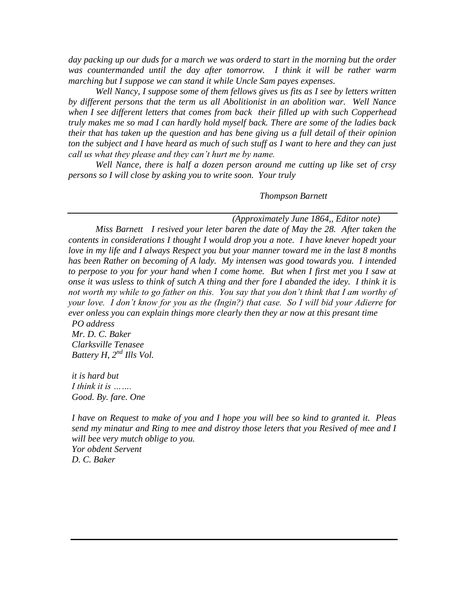*day packing up our duds for a march we was orderd to start in the morning but the order was countermanded until the day after tomorrow. I think it will be rather warm marching but I suppose we can stand it while Uncle Sam payes expenses.*

*Well Nancy, I suppose some of them fellows gives us fits as I see by letters written by different persons that the term us all Abolitionist in an abolition war. Well Nance when I see different letters that comes from back their filled up with such Copperhead truly makes me so mad I can hardly hold myself back. There are some of the ladies back their that has taken up the question and has bene giving us a full detail of their opinion ton the subject and I have heard as much of such stuff as I want to here and they can just call us what they please and they can't hurt me by name.* 

*Well Nance, there is half a dozen person around me cutting up like set of crsy persons so I will close by asking you to write soon. Your truly*

*Thompson Barnett*

*(Approximately June 1864,, Editor note)*

*Miss Barnett I resived your leter baren the date of May the 28. After taken the contents in considerations I thought I would drop you a note. I have knever hopedt your love in my life and I always Respect you but your manner toward me in the last 8 months has been Rather on becoming of A lady. My intensen was good towards you. I intended to perpose to you for your hand when I come home. But when I first met you I saw at onse it was usless to think of sutch A thing and ther fore I abanded the idey. I think it is not worth my while to go father on this. You say that you don't think that I am worthy of your love. I don't know for you as the (Ingin?) that case. So I will bid your Adierre for ever onless you can explain things more clearly then they ar now at this presant time PO address*

*Mr. D. C. Baker Clarksville Tenasee Battery H, 2nd Ills Vol.* 

*it is hard but I think it is ……. Good. By. fare. One*

*I have on Request to make of you and I hope you will bee so kind to granted it. Pleas send my minatur and Ring to mee and distroy those leters that you Resived of mee and I will bee very mutch oblige to you. Yor obdent Servent D. C. Baker*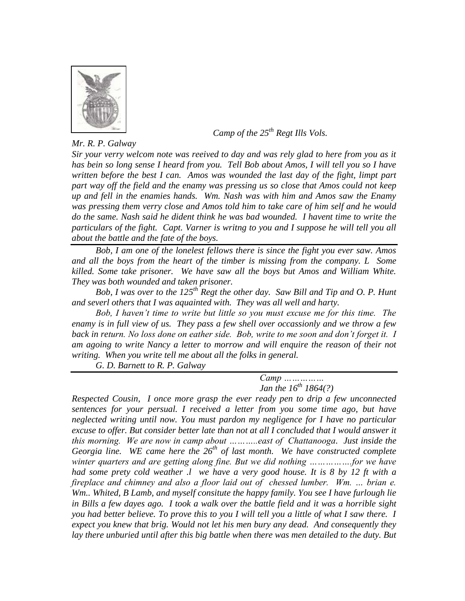

*Mr. R. P. Galway*

 *Camp of the 25th Regt Ills Vols.*

*Sir your verry welcom note was reeived to day and was rely glad to here from you as it has bein so long sense I heard from you. Tell Bob about Amos, I will tell you so I have written before the best I can. Amos was wounded the last day of the fight, limpt part part way off the field and the enamy was pressing us so close that Amos could not keep up and fell in the enamies hands. Wm. Nash was with him and Amos saw the Enamy was pressing them verry close and Amos told him to take care of him self and he would do the same. Nash said he dident think he was bad wounded. I havent time to write the particulars of the fight. Capt. Varner is writng to you and I suppose he will tell you all about the battle and the fate of the boys.* 

*Bob, I am one of the lonelest fellows there is since the fight you ever saw. Amos and all the boys from the heart of the timber is missing from the company. L Some killed. Some take prisoner. We have saw all the boys but Amos and William White. They was both wounded and taken prisoner.* 

*Bob, I was over to the 125th Regt the other day. Saw Bill and Tip and O. P. Hunt and severl others that I was aquainted with. They was all well and harty.*

*Bob, I haven't time to write but little so you must excuse me for this time. The enamy is in full view of us. They pass a few shell over occassionly and we throw a few back in return. No loss done on eather side. Bob, write to me soon and don't forget it. I am agoing to write Nancy a letter to morrow and will enquire the reason of their not writing. When you write tell me about all the folks in general.*

*G. D. Barnett to R. P. Galway*

*Camp …………… Jan the 16th 1864(?)*

*Respected Cousin, I once more grasp the ever ready pen to drip a few unconnected sentences for your persual. I received a letter from you some time ago, but have neglected writing until now. You must pardon my negligence for I have no particular excuse to offer. But consider better late than not at all I concluded that I would answer it this morning. We are now in camp about ………..east of Chattanooga. Just inside the Georgia line. WE came here the 26th of last month. We have constructed complete winter quarters and are getting along fine. But we did nothing …………….for we have had some prety cold weather .l we have a very good house. It is 8 by 12 ft with a fireplace and chimney and also a floor laid out of chessed lumber. Wm. ... brian e. Wm.. Whited, B Lamb, and myself consitute the happy family. You see I have furlough lie in Bills a few dayes ago. I took a walk over the battle field and it was a horrible sight you had better believe. To prove this to you I will tell you a little of what I saw there. I expect you knew that brig. Would not let his men bury any dead. And consequently they lay there unburied until after this big battle when there was men detailed to the duty. But*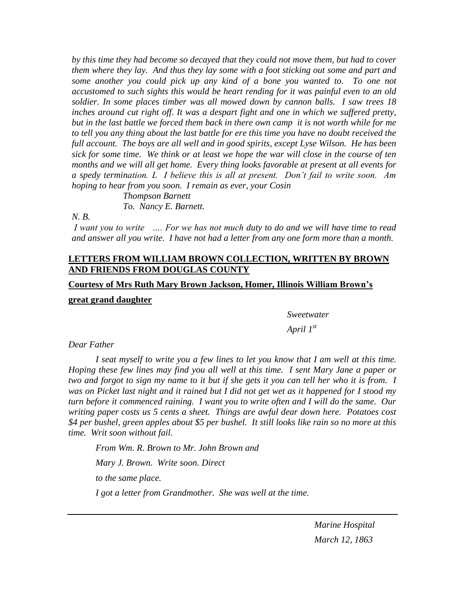*by this time they had become so decayed that they could not move them, but had to cover them where they lay. And thus they lay some with a foot sticking out some and part and some another you could pick up any kind of a bone you wanted to. To one not accustomed to such sights this would be heart rending for it was painful even to an old soldier. In some places timber was all mowed down by cannon balls. I saw trees 18 inches around cut right off. It was a despart fight and one in which we suffered pretty, but in the last battle we forced them back in there own camp it is not worth while for me to tell you any thing about the last battle for ere this time you have no doubt received the full account. The boys are all well and in good spirits, except Lyse Wilson. He has been sick for some time. We think or at least we hope the war will close in the course of ten months and we will all get home. Every thing looks favorable at present at all events for a spedy termination. L I believe this is all at present. Don't fail to write soon. Am hoping to hear from you soon. I remain as ever, your Cosin*

> *Thompson Barnett To. Nancy E. Barnett.*

# *N. B.*

*I want you to write …. For we has not much duty to do and we will have time to read and answer all you write. I have not had a letter from any one form more than a month.*

# **LETTERS FROM WILLIAM BROWN COLLECTION, WRITTEN BY BROWN AND FRIENDS FROM DOUGLAS COUNTY**

#### **Courtesy of Mrs Ruth Mary Brown Jackson, Homer, Illinois William Brown's**

# **great grand daughter**

*Sweetwater*

*April 1st*

#### *Dear Father*

*I seat myself to write you a few lines to let you know that I am well at this time. Hoping these few lines may find you all well at this time. I sent Mary Jane a paper or two and forgot to sign my name to it but if she gets it you can tell her who it is from. I was on Picket last night and it rained but I did not get wet as it happened for I stood my turn before it commenced raining. I want you to write often and I will do the same. Our writing paper costs us 5 cents a sheet. Things are awful dear down here. Potatoes cost \$4 per bushel, green apples about \$5 per bushel. It still looks like rain so no more at this time. Writ soon without fail.*

*From Wm. R. Brown to Mr. John Brown and Mary J. Brown. Write soon. Direct to the same place. I got a letter from Grandmother. She was well at the time.*

> *Marine Hospital March 12, 1863*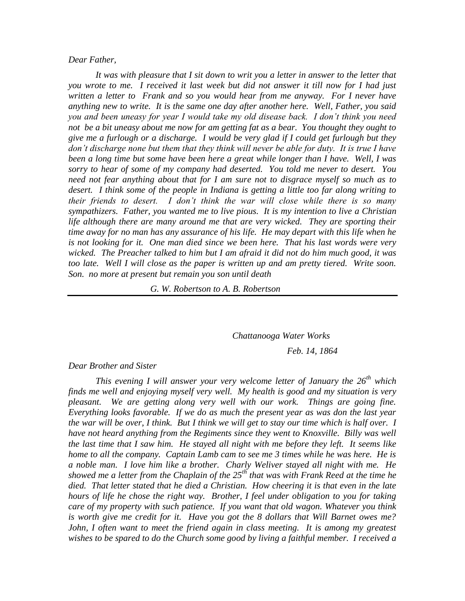#### *Dear Father,*

*It was with pleasure that I sit down to writ you a letter in answer to the letter that you wrote to me. I received it last week but did not answer it till now for I had just written a letter to Frank and so you would hear from me anyway. For I never have anything new to write. It is the same one day after another here. Well, Father, you said you and been uneasy for year I would take my old disease back. I don't think you need not be a bit uneasy about me now for am getting fat as a bear. You thought they ought to give me a furlough or a discharge. I would be very glad if I could get furlough but they don't discharge none but them that they think will never be able for duty. It is true I have been a long time but some have been here a great while longer than I have. Well, I was sorry to hear of some of my company had deserted. You told me never to desert. You need not fear anything about that for I am sure not to disgrace myself so much as to desert. I think some of the people in Indiana is getting a little too far along writing to their friends to desert. I don't think the war will close while there is so many sympathizers. Father, you wanted me to live pious. It is my intention to live a Christian*  life although there are many around me that are very wicked. They are sporting their *time away for no man has any assurance of his life. He may depart with this life when he is not looking for it. One man died since we been here. That his last words were very wicked. The Preacher talked to him but I am afraid it did not do him much good, it was too late. Well I will close as the paper is written up and am pretty tiered. Write soon. Son. no more at present but remain you son until death*

*G. W. Robertson to A. B. Robertson*

*Chattanooga Water Works*

*Feb. 14, 1864*

#### *Dear Brother and Sister*

*This evening I will answer your very welcome letter of January the 26th which finds me well and enjoying myself very well. My health is good and my situation is very pleasant. We are getting along very well with our work. Things are going fine. Everything looks favorable. If we do as much the present year as was don the last year the war will be over, I think. But I think we will get to stay our time which is half over. I have not heard anything from the Regiments since they went to Knoxville. Billy was well the last time that I saw him. He stayed all night with me before they left. It seems like home to all the company. Captain Lamb cam to see me 3 times while he was here. He is a noble man. I love him like a brother. Charly Weliver stayed all night with me. He showed me a letter from the Chaplain of the 25th that was with Frank Reed at the time he died. That letter stated that he died a Christian. How cheering it is that even in the late hours of life he chose the right way. Brother, I feel under obligation to you for taking care of my property with such patience. If you want that old wagon. Whatever you think is worth give me credit for it. Have you got the 8 dollars that Will Barnet owes me? John, I often want to meet the friend again in class meeting. It is among my greatest wishes to be spared to do the Church some good by living a faithful member. I received a*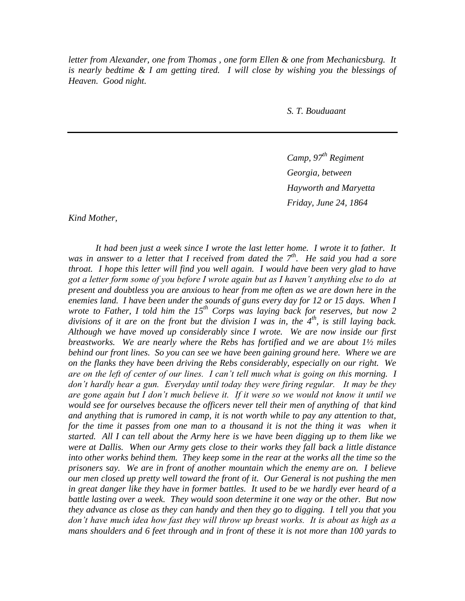*letter from Alexander, one from Thomas , one form Ellen & one from Mechanicsburg. It is nearly bedtime & I am getting tired. I will close by wishing you the blessings of Heaven. Good night.*

*S. T. Bouduaant*

*Camp, 97th Regiment Georgia, between Hayworth and Maryetta Friday, June 24, 1864*

*Kind Mother,*

*It had been just a week since I wrote the last letter home. I wrote it to father. It was in answer to a letter that I received from dated the 7th. He said you had a sore throat. I hope this letter will find you well again. I would have been very glad to have got a letter form some of you before I wrote again but as I haven't anything else to do at present and doubtless you are anxious to hear from me often as we are down here in the*  enemies land. I have been under the sounds of guns every day for 12 or 15 days. When I *wrote to Father, I told him the 15th Corps was laying back for reserves, but now 2 divisions of it are on the front but the division I was in, the 4th, is still laying back. Although we have moved up considerably since I wrote. We are now inside our first breastworks. We are nearly where the Rebs has fortified and we are about 1½ miles behind our front lines. So you can see we have been gaining ground here. Where we are on the flanks they have been driving the Rebs considerably, especially on our right. We are on the left of center of our lines. I can't tell much what is going on this morning. I don't hardly hear a gun. Everyday until today they were firing regular. It may be they are gone again but I don't much believe it. If it were so we would not know it until we would see for ourselves because the officers never tell their men of anything of that kind and anything that is rumored in camp, it is not worth while to pay any attention to that, for the time it passes from one man to a thousand it is not the thing it was when it started. All I can tell about the Army here is we have been digging up to them like we were at Dallis. When our Army gets close to their works they fall back a little distance into other works behind them. They keep some in the rear at the works all the time so the prisoners say. We are in front of another mountain which the enemy are on. I believe our men closed up pretty well toward the front of it. Our General is not pushing the men in great danger like they have in former battles. It used to be we hardly ever heard of a battle lasting over a week. They would soon determine it one way or the other. But now they advance as close as they can handy and then they go to digging. I tell you that you don't have much idea how fast they will throw up breast works. It is about as high as a mans shoulders and 6 feet through and in front of these it is not more than 100 yards to*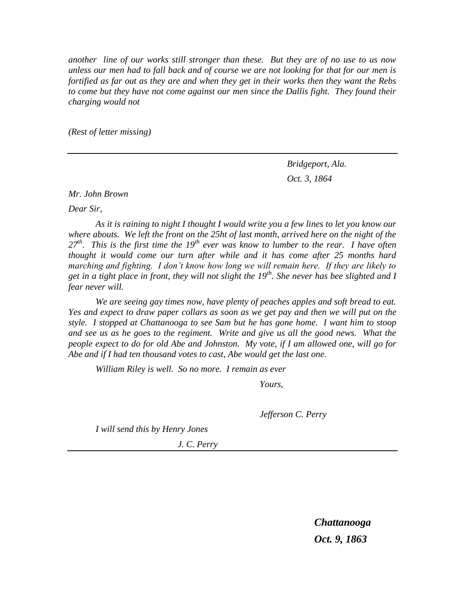*another line of our works still stronger than these. But they are of no use to us now unless our men had to fall back and of course we are not looking for that for our men is fortified as far out as they are and when they get in their works then they want the Rebs to come but they have not come against our men since the Dallis fight. They found their charging would not* 

*(Rest of letter missing)*

*Bridgeport, Ala. Oct. 3, 1864*

*Mr. John Brown*

*Dear Sir,*

*As it is raining to night I thought I would write you a few lines to let you know our where abouts. We left the front on the 25ht of last month, arrived here on the night of the 27th. This is the first time the 19th ever was know to lumber to the rear. I have often thought it would come our turn after while and it has come after 25 months hard marching and fighting. I don't know how long we will remain here. If they are likely to get in a tight place in front, they will not slight the 19th. She never has bee slighted and I fear never will.*

*We are seeing gay times now, have plenty of peaches apples and soft bread to eat. Yes and expect to draw paper collars as soon as we get pay and then we will put on the style. I stopped at Chattanooga to see Sam but he has gone home. I want him to stoop and see us as he goes to the regiment. Write and give us all the good news. What the people expect to do for old Abe and Johnston. My vote, if I am allowed one, will go for Abe and if I had ten thousand votes to cast, Abe would get the last one.*

*William Riley is well. So no more. I remain as ever*

*Yours,*

*Jefferson C. Perry*

*I will send this by Henry Jones*

*J. C. Perry*

*Chattanooga Oct. 9, 1863*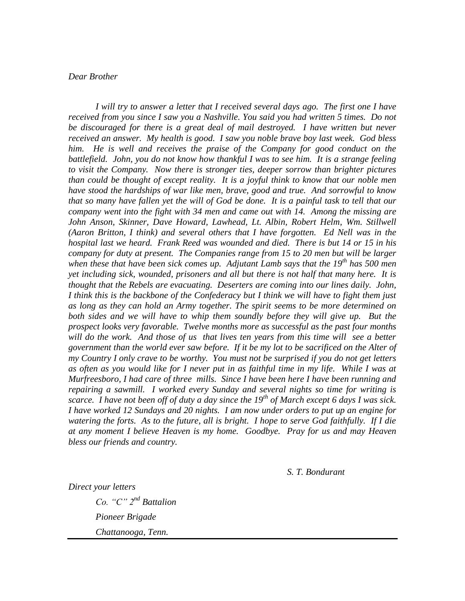# *Dear Brother*

*I will try to answer a letter that I received several days ago. The first one I have received from you since I saw you a Nashville. You said you had written 5 times. Do not be discouraged for there is a great deal of mail destroyed. I have written but never received an answer. My health is good. I saw you noble brave boy last week. God bless*  him. He is well and receives the praise of the Company for good conduct on the *battlefield. John, you do not know how thankful I was to see him. It is a strange feeling to visit the Company. Now there is stronger ties, deeper sorrow than brighter pictures than could be thought of except reality. It is a joyful think to know that our noble men have stood the hardships of war like men, brave, good and true. And sorrowful to know that so many have fallen yet the will of God be done. It is a painful task to tell that our company went into the fight with 34 men and came out with 14. Among the missing are John Anson, Skinner, Dave Howard, Lawhead, Lt. Albin, Robert Helm, Wm. Stillwell (Aaron Britton, I think) and several others that I have forgotten. Ed Nell was in the hospital last we heard. Frank Reed was wounded and died. There is but 14 or 15 in his company for duty at present. The Companies range from 15 to 20 men but will be larger when these that have been sick comes up. Adjutant Lamb says that the 19th has 500 men yet including sick, wounded, prisoners and all but there is not half that many here. It is thought that the Rebels are evacuating. Deserters are coming into our lines daily. John, I think this is the backbone of the Confederacy but I think we will have to fight them just as long as they can hold an Army together. The spirit seems to be more determined on both sides and we will have to whip them soundly before they will give up. But the prospect looks very favorable. Twelve months more as successful as the past four months will do the work. And those of us that lives ten years from this time will see a better government than the world ever saw before. If it be my lot to be sacrificed on the Alter of my Country I only crave to be worthy. You must not be surprised if you do not get letters as often as you would like for I never put in as faithful time in my life. While I was at Murfreesboro, I had care of three mills. Since I have been here I have been running and repairing a sawmill. I worked every Sunday and several nights so time for writing is scarce. I have not been off of duty a day since the 19th of March except 6 days I was sick. I have worked 12 Sundays and 20 nights. I am now under orders to put up an engine for watering the forts. As to the future, all is bright. I hope to serve God faithfully. If I die at any moment I believe Heaven is my home. Goodbye. Pray for us and may Heaven bless our friends and country.*

*S. T. Bondurant*

*Direct your letters*

*Co. "C" 2nd Battalion Pioneer Brigade Chattanooga, Tenn.*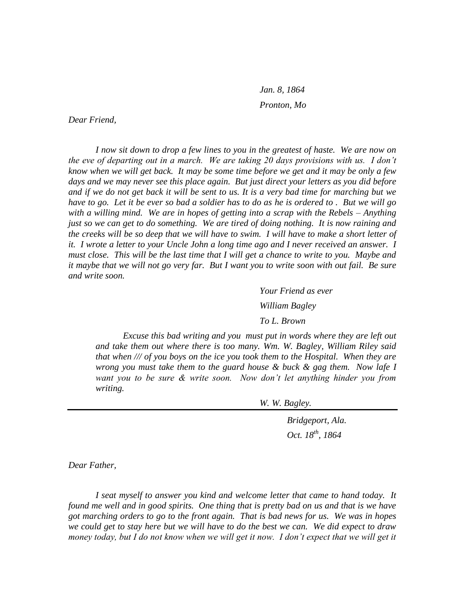*Jan. 8, 1864 Pronton, Mo*

*Dear Friend,*

*I now sit down to drop a few lines to you in the greatest of haste. We are now on the eve of departing out in a march. We are taking 20 days provisions with us. I don't know when we will get back. It may be some time before we get and it may be only a few days and we may never see this place again. But just direct your letters as you did before and if we do not get back it will be sent to us. It is a very bad time for marching but we have to go. Let it be ever so bad a soldier has to do as he is ordered to . But we will go with a willing mind. We are in hopes of getting into a scrap with the Rebels – Anything just so we can get to do something. We are tired of doing nothing. It is now raining and the creeks will be so deep that we will have to swim. I will have to make a short letter of it. I wrote a letter to your Uncle John a long time ago and I never received an answer. I must close. This will be the last time that I will get a chance to write to you. Maybe and it maybe that we will not go very far. But I want you to write soon with out fail. Be sure and write soon.*

> *Your Friend as ever William Bagley To L. Brown*

*Excuse this bad writing and you must put in words where they are left out and take them out where there is too many. Wm. W. Bagley, William Riley said that when /// of you boys on the ice you took them to the Hospital. When they are wrong you must take them to the guard house & buck & gag them. Now lafe I want you to be sure & write soon. Now don't let anything hinder you from writing.*

*W. W. Bagley.*

*Bridgeport, Ala. Oct. 18th, 1864*

*Dear Father,*

*I seat myself to answer you kind and welcome letter that came to hand today. It found me well and in good spirits. One thing that is pretty bad on us and that is we have got marching orders to go to the front again. That is bad news for us. We was in hopes we could get to stay here but we will have to do the best we can. We did expect to draw*  money today, but I do not know when we will get it now. I don't expect that we will get it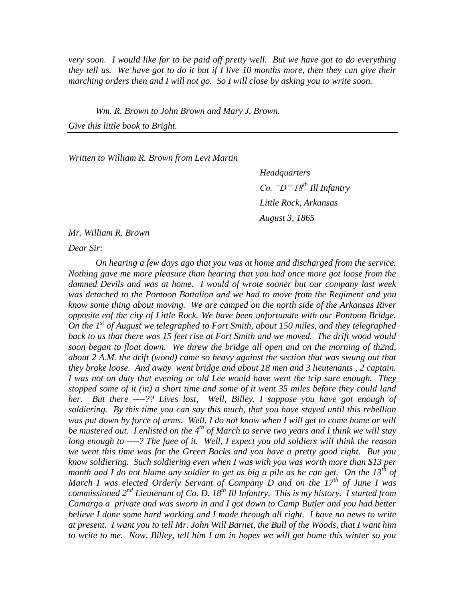*very soon. I would like for to be paid off pretty well. But we have got to do everything they tell us. We have got to do it but if I live 10 months more, then they can give their marching orders then and I will not go. So I will close by asking you to write soon.*

*Wm. R. Brown to John Brown and Mary J. Brown.*

*Give this little book to Bright.*

*Written to William R. Brown from Levi Martin*

*Headquarters Co. "D" 18th Ill Infantry Little Rock, Arkansas August 3, 1865*

*Mr. William R. Brown*

*Dear Sir:*

*On hearing a few days ago that you was at home and discharged from the service. Nothing gave me more pleasure than hearing that you had once more got loose from the damned Devils and was at home. I would of wrote sooner but our company last week was detached to the Pontoon Battalion and we had to move from the Regiment and you know some thing about moving. We are camped on the north side of the Arkansas River opposite eof the city of Little Rock. We have been unfortunate with our Pontoon Bridge. On the 1st of August we telegraphed to Fort Smith, about 150 miles, and they telegraphed back to us that there was 15 feet rise at Fort Smith and we moved. The drift wood would soon began to float down. We threw the bridge all open and on the morning of th2nd, about 2 A.M. the drift (wood) came so heavy against the section that was swung out that they broke loose. And away went bridge and about 18 men and 3 lieutenants , 2 captain. I was not on duty that evening or old Lee would have went the trip sure enough. They stopped some of it (in) a short time and some of it went 35 miles before they could land her. But there ----?? Lives lost, Well, Billey, I suppose you have got enough of soldiering. By this time you can say this much, that you have stayed until this rebellion was put down by force of arms. Well, I do not know when I will get to come home or will be mustered out. I enlisted on the 4th of March to serve two years and I think we will stay long enough to ----? The faee of it. Well, I expect you old soldiers will think the reason we went this time was for the Green Backs and you have a pretty good right. But you know soldiering. Such soldiering even when I was with you was worth more than \$13 per month and I do not blame any soldier to get as big a pile as he can get. On the 13th of March I was elected Orderly Servant of Company D and on the 17th of June I was commissioned 2nd Lieutenant of Co. D. 18th Ill Infantry. This is my history. I started from Camargo a private and was sworn in and I got down to Camp Butler and you had better believe I done some hard working and I made through all right. I have no news to write at present. I want you to tell Mr. John Will Barnet, the Bull of the Woods, that I want him to write to me. Now, Billey, tell him I am in hopes we will get home this winter so you*